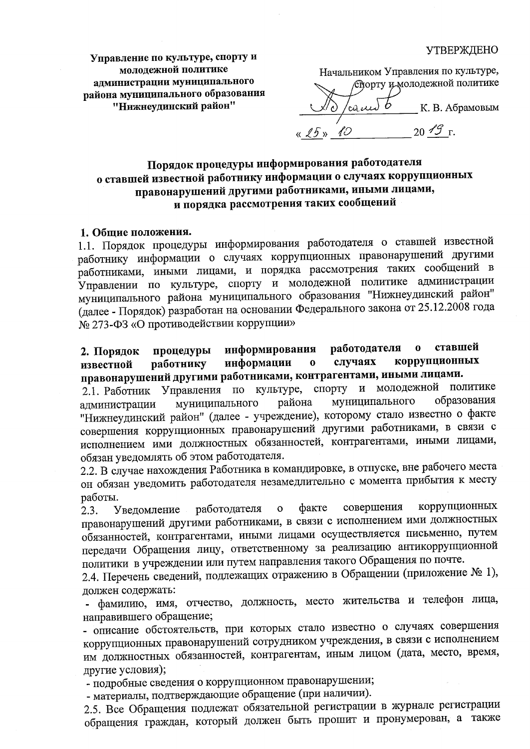### **УТВЕРЖДЕНО**

Управление по культуре, спорту и молодежной политике алминистрации муниципального района муниципального образования "Нижнеудинский район"

Начальником Управления по культуре, Спорту и молодежной политике К. В. Абрамовым  $20 \mathcal{1} \mathcal{G}$  r.

Порядок процедуры информирования работодателя о ставшей известной работнику информации о случаях коррупционных правонарушений другими работниками, иными лицами, и порядка рассмотрения таких сообщений

#### 1. Общие положения.

1.1. Порядок процедуры информирования работодателя о ставшей известной работнику информации о случаях коррупционных правонарушений другими работниками, иными лицами, и порядка рассмотрения таких сообщений в Управлении по культуре, спорту и молодежной политике администрации муниципального района муниципального образования "Нижнеудинский район" (далее - Порядок) разработан на основании Федерального закона от 25.12.2008 года № 273-ФЗ «О противодействии коррупции»

работодателя  $\mathbf{o}$ ставшей информирования процедуры 2. Порядок коррупционных информации случаях работнику  $\mathbf{o}$ известной правонарушений другими работниками, контрагентами, иными лицами.

2.1. Работник Управления по культуре, спорту и молодежной политике образования муниципального района муниципального администрации "Нижнеудинский район" (далее - учреждение), которому стало известно о факте совершения коррупционных правонарушений другими работниками, в связи с исполнением ими должностных обязанностей, контрагентами, иными лицами, обязан уведомлять об этом работодателя.

2.2. В случае нахождения Работника в командировке, в отпуске, вне рабочего места он обязан уведомить работодателя незамедлительно с момента прибытия к месту работы.

коррупционных совершения  $\mathbf{o}$ факте работодателя Уведомление  $2.3.$ правонарушений другими работниками, в связи с исполнением ими должностных обязанностей, контрагентами, иными лицами осуществляется письменно, путем передачи Обращения лицу, ответственному за реализацию антикоррупционной политики в учреждении или путем направления такого Обращения по почте.

2.4. Перечень сведений, подлежащих отражению в Обращении (приложение № 1), должен содержать:

- фамилию, имя, отчество, должность, место жительства и телефон лица, направившего обращение;

- описание обстоятельств, при которых стало известно о случаях совершения коррупционных правонарушений сотрудником учреждения, в связи с исполнением им должностных обязанностей, контрагентам, иным лицом (дата, место, время, другие условия);

- подробные сведения о коррупционном правонарушении;

- материалы, подтверждающие обращение (при наличии).

2.5. Все Обращения подлежат обязательной регистрации в журнале регистрации обращения граждан, который должен быть прошит и пронумерован, а также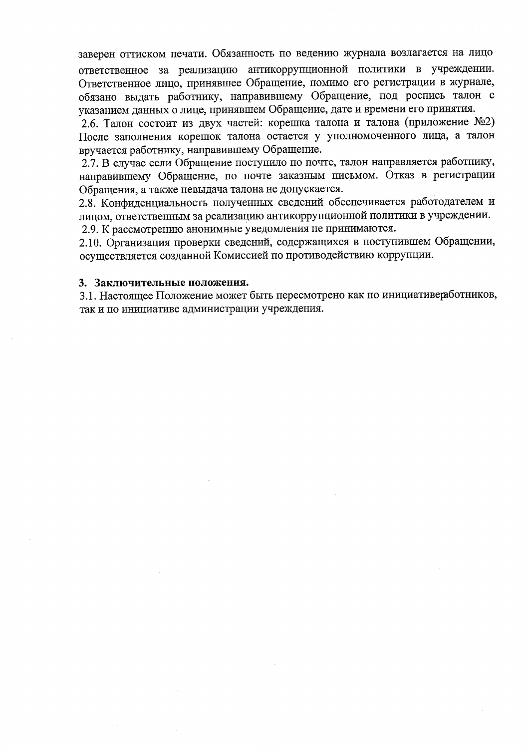заверен оттиском печати. Обязанность по ведению журнала возлагается на лицо

ответственное за реализацию антикоррупционной политики в учреждении. Ответственное лицо, принявшее Обращение, помимо его регистрации в журнале, обязано выдать работнику, направившему Обращение, под роспись талон с указанием данных о лице, принявшем Обращение, дате и времени его принятия.

2.6. Талон состоит из двух частей: корешка талона и талона (приложение №2) После заполнения корешок талона остается у уполномоченного лица, а талон вручается работнику, направившему Обращение.

2.7. В случае если Обращение поступило по почте, талон направляется работнику, направившему Обращение, по почте заказным письмом. Отказ в регистрации Обращения, а также невыдача талона не допускается.

2.8. Конфиденциальность полученных сведений обеспечивается работодателем и лицом, ответственным за реализацию антикоррупционной политики в учреждении.

2.9. К рассмотрению анонимные уведомления не принимаются.

2.10. Организация проверки сведений, содержащихся в поступившем Обращении, осуществляется созданной Комиссией по противодействию коррупции.

### 3. Заключительные положения.

3.1. Настоящее Положение может быть пересмотрено как по инициативеработников, так и по инициативе администрации учреждения.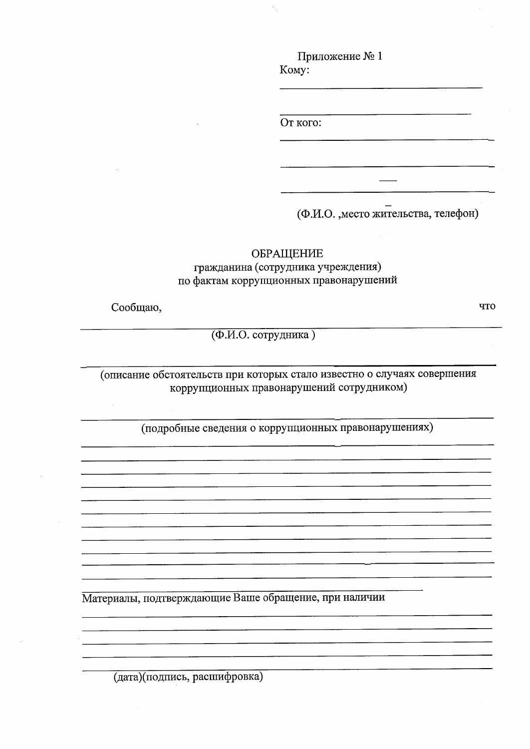Приложение № 1 Komy:

От кого:

(Ф.И.О., место жительства, телефон)

ЧTO

ОБРАЩЕНИЕ

гражданина (сотрудника учреждения) по фактам коррупционных правонарушений

Сообщаю,

(Ф.И.О. сотрудника)

(описание обстоятельств при которых стало известно о случаях совершения коррупционных правонарушений сотрудником)

(подробные сведения о коррупционных правонарушениях)

Материалы, подтверждающие Ваше обращение, при наличии

(дата)(подпись, расшифровка)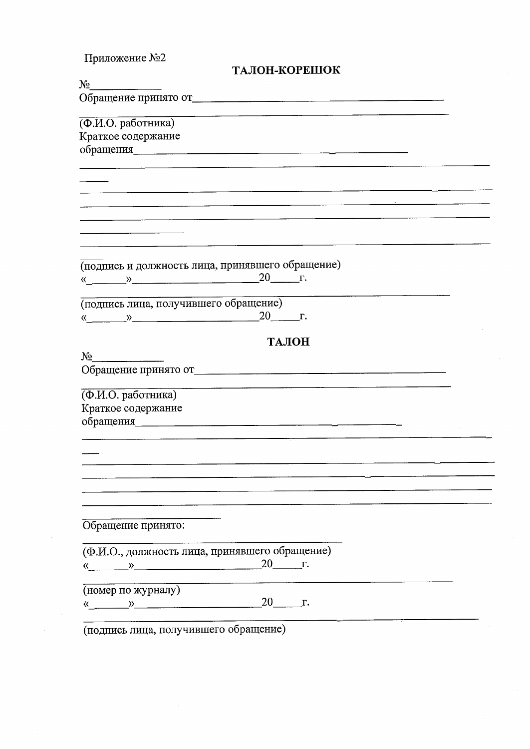| Приложение №2                                                                                                                                                                                                                                                                                                                                                                                                                                                                                                                                                                                                                                      |                                                                                                                 |  |
|----------------------------------------------------------------------------------------------------------------------------------------------------------------------------------------------------------------------------------------------------------------------------------------------------------------------------------------------------------------------------------------------------------------------------------------------------------------------------------------------------------------------------------------------------------------------------------------------------------------------------------------------------|-----------------------------------------------------------------------------------------------------------------|--|
|                                                                                                                                                                                                                                                                                                                                                                                                                                                                                                                                                                                                                                                    | ТАЛОН-КОРЕШОК                                                                                                   |  |
| No                                                                                                                                                                                                                                                                                                                                                                                                                                                                                                                                                                                                                                                 |                                                                                                                 |  |
|                                                                                                                                                                                                                                                                                                                                                                                                                                                                                                                                                                                                                                                    | Обращение принято от полностранно принята с принята с принята с принята с принята с принята с принята с принята |  |
| (Ф.И.О. работника)                                                                                                                                                                                                                                                                                                                                                                                                                                                                                                                                                                                                                                 |                                                                                                                 |  |
| Краткое содержание                                                                                                                                                                                                                                                                                                                                                                                                                                                                                                                                                                                                                                 |                                                                                                                 |  |
|                                                                                                                                                                                                                                                                                                                                                                                                                                                                                                                                                                                                                                                    |                                                                                                                 |  |
|                                                                                                                                                                                                                                                                                                                                                                                                                                                                                                                                                                                                                                                    |                                                                                                                 |  |
|                                                                                                                                                                                                                                                                                                                                                                                                                                                                                                                                                                                                                                                    |                                                                                                                 |  |
|                                                                                                                                                                                                                                                                                                                                                                                                                                                                                                                                                                                                                                                    |                                                                                                                 |  |
|                                                                                                                                                                                                                                                                                                                                                                                                                                                                                                                                                                                                                                                    |                                                                                                                 |  |
|                                                                                                                                                                                                                                                                                                                                                                                                                                                                                                                                                                                                                                                    |                                                                                                                 |  |
| (подпись и должность лица, принявшего обращение)                                                                                                                                                                                                                                                                                                                                                                                                                                                                                                                                                                                                   |                                                                                                                 |  |
| $\begin{array}{c}\n\leftarrow \quad \mathbf{N} \quad \text{20} \quad \text{r}.\n\end{array}$                                                                                                                                                                                                                                                                                                                                                                                                                                                                                                                                                       |                                                                                                                 |  |
| (подпись лица, получившего обращение)                                                                                                                                                                                                                                                                                                                                                                                                                                                                                                                                                                                                              |                                                                                                                 |  |
| $\begin{array}{c} \hline \text{N} & \text{N} \\ \hline \end{array}$ 20 F.                                                                                                                                                                                                                                                                                                                                                                                                                                                                                                                                                                          |                                                                                                                 |  |
|                                                                                                                                                                                                                                                                                                                                                                                                                                                                                                                                                                                                                                                    | ТАЛОН                                                                                                           |  |
| $N_2$                                                                                                                                                                                                                                                                                                                                                                                                                                                                                                                                                                                                                                              |                                                                                                                 |  |
|                                                                                                                                                                                                                                                                                                                                                                                                                                                                                                                                                                                                                                                    | Обращение принято от полнение принята от принята с принята с принята с принята с принята с принята с принята с  |  |
| (Ф.И.О. работника)                                                                                                                                                                                                                                                                                                                                                                                                                                                                                                                                                                                                                                 |                                                                                                                 |  |
| Краткое содержание                                                                                                                                                                                                                                                                                                                                                                                                                                                                                                                                                                                                                                 |                                                                                                                 |  |
|                                                                                                                                                                                                                                                                                                                                                                                                                                                                                                                                                                                                                                                    | обращения по поставки по поставки по поставки по поставки по поставки по поставки по поставки по поставки по п  |  |
|                                                                                                                                                                                                                                                                                                                                                                                                                                                                                                                                                                                                                                                    |                                                                                                                 |  |
|                                                                                                                                                                                                                                                                                                                                                                                                                                                                                                                                                                                                                                                    |                                                                                                                 |  |
|                                                                                                                                                                                                                                                                                                                                                                                                                                                                                                                                                                                                                                                    |                                                                                                                 |  |
|                                                                                                                                                                                                                                                                                                                                                                                                                                                                                                                                                                                                                                                    |                                                                                                                 |  |
| Обращение принято:                                                                                                                                                                                                                                                                                                                                                                                                                                                                                                                                                                                                                                 |                                                                                                                 |  |
|                                                                                                                                                                                                                                                                                                                                                                                                                                                                                                                                                                                                                                                    |                                                                                                                 |  |
| (Ф.И.О., должность лица, принявшего обращение)                                                                                                                                                                                                                                                                                                                                                                                                                                                                                                                                                                                                     |                                                                                                                 |  |
| $\begin{array}{c}\n\mathbf{R} \rightarrow \mathbf{R} \rightarrow \mathbf{R} \rightarrow \mathbf{R} \rightarrow \mathbf{R} \rightarrow \mathbf{R} \rightarrow \mathbf{R} \rightarrow \mathbf{R} \rightarrow \mathbf{R} \rightarrow \mathbf{R} \rightarrow \mathbf{R} \rightarrow \mathbf{R} \rightarrow \mathbf{R} \rightarrow \mathbf{R} \rightarrow \mathbf{R} \rightarrow \mathbf{R} \rightarrow \mathbf{R} \rightarrow \mathbf{R} \rightarrow \mathbf{R} \rightarrow \mathbf{R} \rightarrow \mathbf{R} \rightarrow \mathbf{R} \rightarrow \mathbf{R} \rightarrow \mathbf{R} \rightarrow \mathbf{R} \rightarrow \mathbf{R} \rightarrow \mathbf{$ |                                                                                                                 |  |
| (номер по журналу)                                                                                                                                                                                                                                                                                                                                                                                                                                                                                                                                                                                                                                 |                                                                                                                 |  |
| $\left\langle \left\langle \begin{array}{cc} 0 & \cdots & \cdots \end{array} \right\rangle \right\rangle$                                                                                                                                                                                                                                                                                                                                                                                                                                                                                                                                          | 20 r.                                                                                                           |  |
| (подпись лица, получившего обращение)                                                                                                                                                                                                                                                                                                                                                                                                                                                                                                                                                                                                              |                                                                                                                 |  |
|                                                                                                                                                                                                                                                                                                                                                                                                                                                                                                                                                                                                                                                    |                                                                                                                 |  |